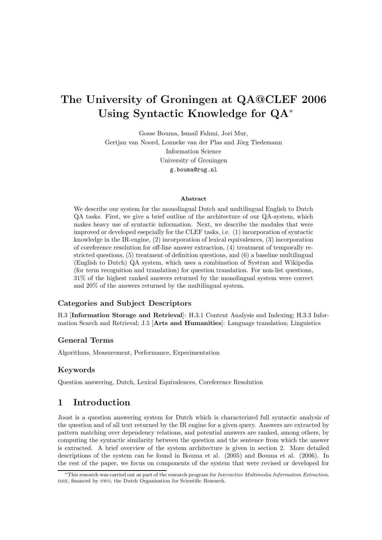# The University of Groningen at QA@CLEF 2006 Using Syntactic Knowledge for QA<sup>∗</sup>

Gosse Bouma, Ismail Fahmi, Jori Mur, Gertjan van Noord, Lonneke van der Plas and Jörg Tiedemann Information Science University of Groningen g.bouma@rug.nl

#### Abstract

We describe our system for the monolingual Dutch and multilingual English to Dutch QA tasks. First, we give a brief outline of the architecture of our QA-system, which makes heavy use of syntactic information. Next, we describe the modules that were improved or developed esepcially for the CLEF tasks, i.e. (1) incorporation of syntactic knowledge in the IR-engine, (2) incorporation of lexical equivalences, (3) incorporation of coreference resolution for off-line answer extraction, (4) treatment of temporally restricted questions, (5) treatment of definition questions, and (6) a baseline multilingual (English to Dutch) QA system, which uses a combination of Systran and Wikipedia (for term recognition and translation) for question translation. For non-list questions, 31% of the highest ranked answers returned by the monolingual system were correct and 20% of the answers returned by the multilingual system.

#### Categories and Subject Descriptors

H.3 [Information Storage and Retrieval]: H.3.1 Content Analysis and Indexing; H.3.3 Information Search and Retrieval; J.5 [Arts and Humanities]: Language translation; Linguistics

#### General Terms

Algorithms, Measurement, Performance, Experimentation

#### Keywords

Question answering, Dutch, Lexical Equivalences, Coreference Resolution

### 1 Introduction

Joost is a question answering system for Dutch which is characterized full syntactic analysis of the question and of all text returned by the IR engine for a given query. Answers are extracted by pattern matching over dependency relations, and potential answers are ranked, among others, by computing the syntactic similarity between the question and the sentence from which the answer is extracted. A brief overview of the system architecture is given in section 2. More detailed descriptions of the system can be found in Bouma et al. (2005) and Bouma et al. (2006). In the rest of the paper, we focus on components of the system that were revised or developed for

<sup>∗</sup>This research was carried out as part of the research program for Interactive Multimedia Information Extraction, imix, financed by nwo, the Dutch Organisation for Scientific Research.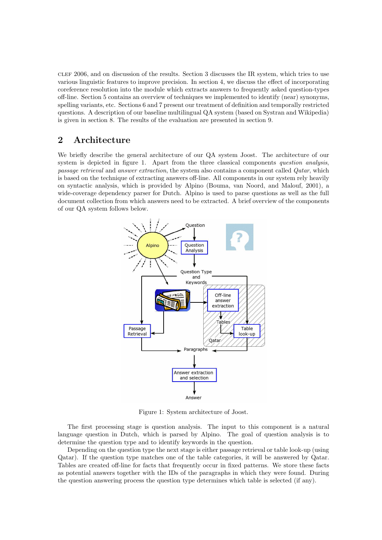clef 2006, and on discussion of the results. Section 3 discusses the IR system, which tries to use various linguistic features to improve precision. In section 4, we discuss the effect of incorporating coreference resolution into the module which extracts answers to frequently asked question-types off-line. Section 5 contains an overview of techniques we implemented to identify (near) synonyms, spelling variants, etc. Sections 6 and 7 present our treatment of definition and temporally restricted questions. A description of our baseline multilingual QA system (based on Systran and Wikipedia) is given in section 8. The results of the evaluation are presented in section 9.

### 2 Architecture

We briefly describe the general architecture of our QA system Joost. The architecture of our system is depicted in figure 1. Apart from the three classical components question analysis, passage retrieval and answer extraction, the system also contains a component called Qatar, which is based on the technique of extracting answers off-line. All components in our system rely heavily on syntactic analysis, which is provided by Alpino (Bouma, van Noord, and Malouf, 2001), a wide-coverage dependency parser for Dutch. Alpino is used to parse questions as well as the full document collection from which answers need to be extracted. A brief overview of the components of our QA system follows below.



Figure 1: System architecture of Joost.

The first processing stage is question analysis. The input to this component is a natural language question in Dutch, which is parsed by Alpino. The goal of question analysis is to determine the question type and to identify keywords in the question.

Depending on the question type the next stage is either passage retrieval or table look-up (using Qatar). If the question type matches one of the table categories, it will be answered by Qatar. Tables are created off-line for facts that frequently occur in fixed patterns. We store these facts as potential answers together with the IDs of the paragraphs in which they were found. During the question answering process the question type determines which table is selected (if any).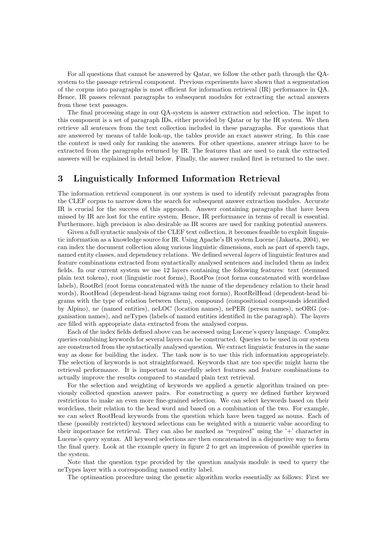For all questions that cannot be answered by Qatar, we follow the other path through the QAsystem to the passage retrieval component. Previous experiments have shown that a segmentation of the corpus into paragraphs is most efficient for information retrieval (IR) performance in QA. Hence, IR passes relevant paragraphs to subsequent modules for extracting the actual answers from these text passages.

The final processing stage in our QA-system is answer extraction and selection. The input to this component is a set of paragraph IDs, either provided by Qatar or by the IR system. We then retrieve all sentences from the text collection included in these paragraphs. For questions that are answered by means of table look-up, the tables provide an exact answer string. In this case the context is used only for ranking the answers. For other questions, answer strings have to be extracted from the paragraphs returned by IR. The features that are used to rank the extracted answers will be explained in detail below. Finally, the answer ranked first is returned to the user.

### 3 Linguistically Informed Information Retrieval

The information retrieval component in our system is used to identify relevant paragraphs from the CLEF corpus to narrow down the search for subsequent answer extraction modules. Accurate IR is crucial for the success of this approach. Answer containing paragraphs that have been missed by IR are lost for the entire system. Hence, IR performance in terms of recall is essential. Furthermore, high precision is also desirable as IR scores are used for ranking potential answers.

Given a full syntactic analysis of the CLEF text collection, it becomes feasible to exploit linguistic information as a knowledge source for IR. Using Apache's IR system Lucene (Jakarta, 2004), we can index the document collection along various linguistic dimensions, such as part of speech tags, named entity classes, and dependency relations. We defined several layers of linguistic features and feature combinations extracted from syntactically analysed sentences and included them as index fields. In our current system we use 12 layers containing the following features: text (stemmed plain text tokens), root (linguistic root forms), RootPos (root forms concatenated with wordclass labels), RootRel (root forms concatenated with the name of the dependency relation to their head words), RootHead (dependent-head bigrams using root forms), RootRelHead (dependent-head bigrams with the type of relation between them), compound (compositional compounds identified by Alpino), ne (named entities), neLOC (location names), nePER (person names), neORG (organisation names), and neTypes (labels of named entities identified in the paragraph). The layers are filled with appropriate data extracted from the analysed corpus.

Each of the index fields defined above can be accessed using Lucene's query language. Complex queries combining keywords for several layers can be constructed. Queries to be used in our system are constructed from the syntactically analysed question. We extract linguistic features in the same way as done for building the index. The task now is to use this rich information appropriately. The selection of keywords is not straightforward. Keywords that are too specific might harm the retrieval performance. It is important to carefully select features and feature combinations to actually improve the results compared to standard plain text retrieval.

For the selection and weighting of keywords we applied a genetic algorithm trained on previously collected question answer pairs. For constructing a query we defined further keyword restrictions to make an even more fine-grained selection. We can select keywords based on their wordclass, their relation to the head word and based on a combination of the two. For example, we can select RootHead keywords from the question which have been tagged as nouns. Each of these (possibly restricted) keyword selections can be weighted with a numeric value according to their importance for retrieval. They can also be marked as "required" using the '+' character in Lucene's query syntax. All keyword selections are then concatenated in a disjunctive way to form the final query. Look at the example query in figure 2 to get an impression of possible queries in the system.

Note that the question type provided by the question analysis module is used to query the neTypes layer with a corresponding named entity label.

The optimsation procedure using the genetic algorithm works essentially as follows: First we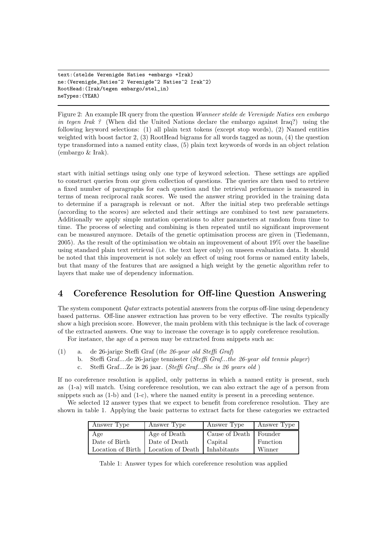```
text:(stelde Verenigde Naties +embargo +Irak)
ne:(Verenigde_Naties^2 Verenigde^2 Naties^2 Irak^2)
RootHead:(Irak/tegen embargo/stel_in)
neTypes:(YEAR)
```
Figure 2: An example IR query from the question Wanneer stelde de Verenigde Naties een embargo in tegen Irak ? (When did the United Nations declare the embargo against Iraq?) using the following keyword selections: (1) all plain text tokens (except stop words), (2) Named entities weighted with boost factor 2, (3) RootHead bigrams for all words tagged as noun, (4) the question type transformed into a named entity class, (5) plain text keywords of words in an object relation (embargo & Irak).

start with initial settings using only one type of keyword selection. These settings are applied to construct queries from our given collection of questions. The queries are then used to retrieve a fixed number of paragraphs for each question and the retrieval performance is measured in terms of mean reciprocal rank scores. We used the answer string provided in the training data to determine if a paragraph is relevant or not. After the initial step two preferable settings (according to the scores) are selected and their settings are combined to test new parameters. Additionally we apply simple mutation operations to alter parameters at random from time to time. The process of selecting and combining is then repeated until no significant improvement can be measured anymore. Details of the genetic optimisation process are given in (Tiedemann, 2005). As the result of the optimisation we obtain an improvement of about 19% over the baseline using standard plain text retrieval (i.e. the text layer only) on unseen evaluation data. It should be noted that this improvement is not solely an effect of using root forms or named entity labels, but that many of the features that are assigned a high weight by the genetic algorithm refer to layers that make use of dependency information.

# 4 Coreference Resolution for Off-line Question Answering

The system component *Qatar* extracts potential answers from the corpus off-line using dependency based patterns. Off-line answer extraction has proven to be very effective. The results typically show a high precision score. However, the main problem with this technique is the lack of coverage of the extracted answers. One way to increase the coverage is to apply coreference resolution.

For instance, the age of a person may be extracted from snippets such as:

- (1) a. de 26-jarige Steffi Graf (the 26-year old Steffi Graf)
	- b. Steffi Graf....de 26-jarige tennisster (Steffi Graf...the 26-year old tennis player)
	- c. Steffi Graf....Ze is 26 jaar. (Steffi Graf...She is 26 years old )

If no coreference resolution is applied, only patterns in which a named entity is present, such as (1-a) will match. Using coreference resolution, we can also extract the age of a person from snippets such as  $(1-b)$  and  $(1-c)$ , where the named entity is present in a preceding sentence.

We selected 12 answer types that we expect to benefit from coreference resolution. They are shown in table 1. Applying the basic patterns to extract facts for these categories we extracted

| Answer Type       | Answer Type       | Answer Type              | Answer Type |
|-------------------|-------------------|--------------------------|-------------|
| Age               | Age of Death      | Cause of Death   Founder |             |
| Date of Birth     | Date of Death     | Capital                  | Function    |
| Location of Birth | Location of Death | Inhabitants              | Winner      |

Table 1: Answer types for which coreference resolution was applied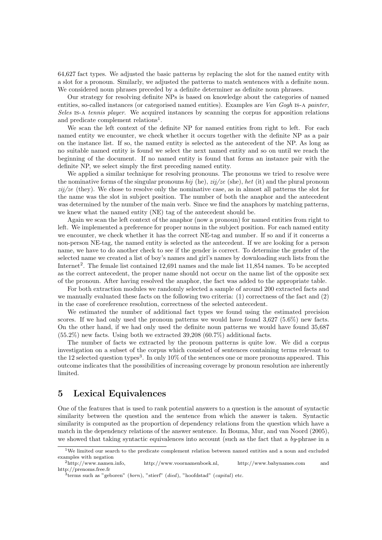64,627 fact types. We adjusted the basic patterns by replacing the slot for the named entity with a slot for a pronoun. Similarly, we adjusted the patterns to match sentences with a definite noun. We considered noun phrases preceded by a definite determiner as definite noun phrases.

Our strategy for resolving definite NPs is based on knowledge about the categories of named entities, so-called instances (or categorised named entities). Examples are Van Gogh is-a painter, Seles is-a tennis player. We acquired instances by scanning the corpus for apposition relations and predicate complement relations<sup>1</sup>.

We scan the left context of the definite NP for named entities from right to left. For each named entity we encounter, we check whether it occurs together with the definite NP as a pair on the instance list. If so, the named entity is selected as the antecedent of the NP. As long as no suitable named entity is found we select the next named entity and so on until we reach the beginning of the document. If no named entity is found that forms an instance pair with the definite NP, we select simply the first preceding named entity.

We applied a similar technique for resolving pronouns. The pronouns we tried to resolve were the nominative forms of the singular pronouns hij (he),  $zi/ze$  (she), het (it) and the plural pronoun  $zi\dot{\gamma}/ze$  (they). We chose to resolve only the nominative case, as in almost all patterns the slot for the name was the slot in subject position. The number of both the anaphor and the antecedent was determined by the number of the main verb. Since we find the anaphors by matching patterns, we knew what the named entity (NE) tag of the antecedent should be.

Again we scan the left context of the anaphor (now a pronoun) for named entities from right to left. We implemented a preference for proper nouns in the subject position. For each named entity we encounter, we check whether it has the correct NE-tag and number. If so and if it concerns a non-person NE-tag, the named entity is selected as the antecedent. If we are looking for a person name, we have to do another check to see if the gender is correct. To determine the gender of the selected name we created a list of boy's names and girl's names by downloading such lists from the Internet<sup>2</sup>. The female list contained 12,691 names and the male list 11,854 names. To be accepted as the correct antecedent, the proper name should not occur on the name list of the opposite sex of the pronoun. After having resolved the anaphor, the fact was added to the appropriate table.

For both extraction modules we randomly selected a sample of around 200 extracted facts and we manually evaluated these facts on the following two criteria: (1) correctness of the fact and (2) in the case of coreference resolution, correctness of the selected antecedent.

We estimated the number of additional fact types we found using the estimated precision scores. If we had only used the pronoun patterns we would have found  $3.627$  (5.6%) new facts. On the other hand, if we had only used the definite noun patterns we would have found 35,687 (55.2%) new facts. Using both we extracted 39,208 (60.7%) additional facts.

The number of facts we extracted by the pronoun patterns is quite low. We did a corpus investigation on a subset of the corpus which consisted of sentences containing terms relevant to the 12 selected question types<sup>3</sup>. In only 10% of the sentences one or more pronouns appeared. This outcome indicates that the possibilities of increasing coverage by pronoun resolution are inherently limited.

### 5 Lexical Equivalences

One of the features that is used to rank potential answers to a question is the amount of syntactic similarity between the question and the sentence from which the answer is taken. Syntactic similarity is computed as the proportion of dependency relations from the question which have a match in the dependency relations of the answer sentence. In Bouma, Mur, and van Noord (2005), we showed that taking syntactic equivalences into account (such as the fact that a  $bv$ -phrase in a

<sup>&</sup>lt;sup>1</sup>We limited our search to the predicate complement relation between named entities and a noun and excluded examples with negation  $\frac{2 \text{http://www.namen.info}}{2}$ 

http://www.voornamenboek.nl, http://www.babynames.com and http://prenoms.free.fr

 $\frac{3}{3}$ terms such as "geboren" (*born*), "stierf" (*died*), "hoofdstad" (*capital*) etc.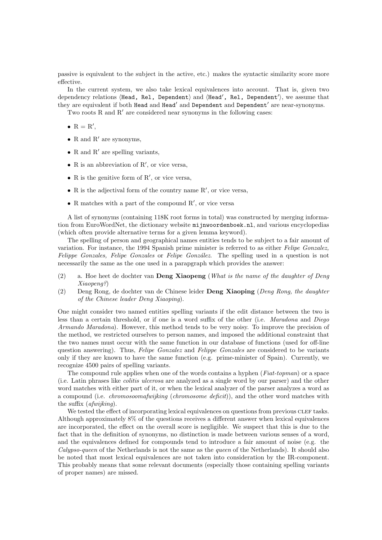passive is equivalent to the subject in the active, etc.) makes the syntactic similarity score more effective.

In the current system, we also take lexical equivalences into account. That is, given two dependency relations (Head, Rel, Dependent) and (Head', Rel, Dependent'), we assume that they are equivalent if both Head and Head' and Dependent and Dependent' are near-synonyms.

Two roots R and  $R'$  are considered near synonyms in the following cases:

- $R = R'$ ,
- R and R' are synonyms,
- R and  $R'$  are spelling variants,
- R is an abbreviation of  $R'$ , or vice versa,
- R is the genitive form of  $R'$ , or vice versa,
- $\bullet$  R is the adjectival form of the country name  $R'$ , or vice versa,
- R matches with a part of the compound  $R'$ , or vice versa

A list of synonyms (containing 118K root forms in total) was constructed by merging information from EuroWordNet, the dictionary website mijnwoordenboek.nl, and various encyclopedias (which often provide alternative terms for a given lemma keyword).

The spelling of person and geographical names entities tends to be subject to a fair amount of variation. For instance, the 1994 Spanish prime minister is referred to as either Felipe Gonzalez, Felippe Gonzales, Felipe Gonzales or Felipe González. The spelling used in a question is not necessarily the same as the one used in a parapgraph which provides the answer:

- (2) a. Hoe heet de dochter van Deng Xiaopeng (What is the name of the daughter of Deng Xiaopeng?)
- (2) Deng Rong, de dochter van de Chinese leider Deng Xiaoping (Deng Rong, the daughter of the Chinese leader Deng Xiaoping).

One might consider two named entities spelling variants if the edit distance between the two is less than a certain threshold, or if one is a word suffix of the other (i.e. Maradona and Diego Armando Maradona). However, this method tends to be very noisy. To improve the precision of the method, we restricted ourselves to person names, and imposed the additional constraint that the two names must occur with the same function in our database of functions (used for off-line question answering). Thus, Felipe Gonzalez and Felippe Gonzales are considered to be variants only if they are known to have the same function (e.g. prime-minister of Spain). Currently, we recognize 4500 pairs of spelling variants.

The compound rule applies when one of the words contains a hyphen (Fiat-topman) or a space (i.e. Latin phrases like colitis ulcerosa are analyzed as a single word by our parser) and the other word matches with either part of it, or when the lexical analyzer of the parser analyzes a word as a compound (i.e. chromosoomafwijking (chromosome deficit)), and the other word matches with the suffix (afwijking).

We tested the effect of incorporating lexical equivalences on questions from previous CLEF tasks. Although approximately 8% of the questions receives a different answer when lexical equivalences are incorporated, the effect on the overall score is negligible. We suspect that this is due to the fact that in the definition of synonyms, no distinction is made between various senses of a word, and the equivalences defined for compounds tend to introduce a fair amount of noise (e.g. the Calypso-queen of the Netherlands is not the same as the queen of the Netherlands). It should also be noted that most lexical equivalences are not taken into consideration by the IR-component. This probably means that some relevant documents (especially those containing spelling variants of proper names) are missed.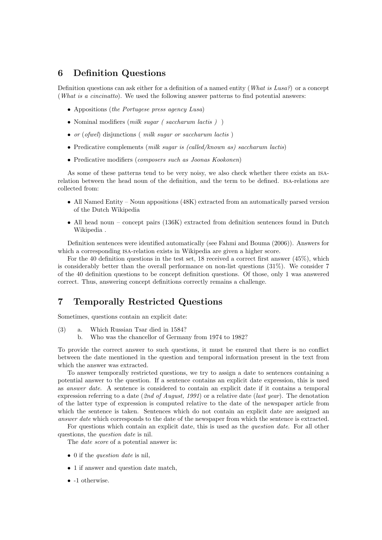# 6 Definition Questions

Definition questions can ask either for a definition of a named entity (What is Lusa?) or a concept (What is a cincinatto). We used the following answer patterns to find potential answers:

- Appositions (the Portugese press agency Lusa)
- Nominal modifiers (milk sugar ( saccharum lactis ) )
- or (ofwel) disjunctions (milk sugar or saccharum lactis)
- Predicative complements (milk sugar is (called/known as) saccharum lactis)
- Predicative modifiers (composers such as Joonas Kookonen)

As some of these patterns tend to be very noisy, we also check whether there exists an isarelation between the head noun of the definition, and the term to be defined. isa-relations are collected from:

- All Named Entity Noun appositions (48K) extracted from an automatically parsed version of the Dutch Wikipedia
- All head noun concept pairs (136K) extracted from definition sentences found in Dutch Wikipedia .

Definition sentences were identified automatically (see Fahmi and Bouma (2006)). Answers for which a corresponding ISA-relation exists in Wikipedia are given a higher score.

For the 40 definition questions in the test set, 18 received a correct first answer (45%), which is considerably better than the overall performance on non-list questions  $(31\%)$ . We consider 7 of the 40 definition questions to be concept definition questions. Of those, only 1 was answered correct. Thus, answering concept definitions correctly remains a challenge.

# 7 Temporally Restricted Questions

Sometimes, questions contain an explicit date:

- (3) a. Which Russian Tsar died in 1584?
	- b. Who was the chancellor of Germany from 1974 to 1982?

To provide the correct answer to such questions, it must be ensured that there is no conflict between the date mentioned in the question and temporal information present in the text from which the answer was extracted.

To answer temporally restricted questions, we try to assign a date to sentences containing a potential answer to the question. If a sentence contains an explicit date expression, this is used as answer date. A sentence is considered to contain an explicit date if it contains a temporal expression referring to a date (2nd of August, 1991) or a relative date (last year). The denotation of the latter type of expression is computed relative to the date of the newspaper article from which the sentence is taken. Sentences which do not contain an explicit date are assigned an answer date which corresponds to the date of the newspaper from which the sentence is extracted.

For questions which contain an explicit date, this is used as the *question date*. For all other questions, the *question date* is nil.

The date score of a potential answer is:

- 0 if the *question date* is nil.
- 1 if answer and question date match,
- -1 otherwise.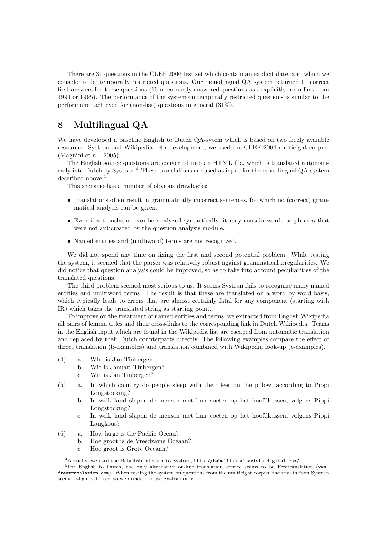There are 31 questions in the CLEF 2006 test set which contain an explicit date, and which we consider to be temporally restricted questions. Our monolingual QA system returned 11 correct first answers for these questions (10 of correctly answered questions ask explicitly for a fact from 1994 or 1995). The performance of the system on temporally restricted questions is similar to the performance achieved for (non-list) questions in general (31%).

# 8 Multilingual QA

We have developed a baseline English to Dutch QA-sytem which is based on two freely avaiable resources: Systran and Wikipedia. For development, we used the CLEF 2004 multieight corpus. (Magnini et al., 2005)

The English source questions are converted into an HTML file, which is translated automatically into Dutch by Systran.<sup>4</sup> These translations are used as input for the monolingual QA-system described above.<sup>5</sup>

This scenario has a number of obvious drawbacks:

- Translations often result in grammatically incorrect sentences, for which no (correct) grammatical analysis can be given.
- Even if a translation can be analyzed syntactically, it may contain words or phrases that were not anticipated by the question analysis module.
- Named entities and (multiword) terms are not recognized.

We did not spend any time on fixing the first and second potential problem. While testing the system, it seemed that the parser was relatively robust against grammatical irregularities. We did notice that question analysis could be improved, so as to take into account peculiarities of the translated questions.

The third problem seemed most serious to us. It seems Systran fails to recognize many named entities and multiword terms. The result is that these are translated on a word by word basis, which typically leads to errors that are almost certainly fatal for any component (starting with IR) which takes the translated string as starting point.

To improve on the treatment of named entities and terms, we extracted from English Wikipedia all pairs of lemma titles and their cross-links to the corresponding link in Dutch Wikipedia. Terms in the English input which are found in the Wikipedia list are escaped from automatic translation and replaced by their Dutch counterparts directly. The following examples compare the effect of direct translation (b-examples) and translation combined with Wikipedia look-up (c-examples).

- (4) a. Who is Jan Tinbergen
	- b. Wie is Januari Tinbergen?
	- c. Wie is Jan Tinbergen?
- (5) a. In which country do people sleep with their feet on the pillow, according to Pippi Longstocking?
	- b. In welk land slapen de mensen met hun voeten op het hoofdkussen, volgens Pippi Longstocking?
	- c. In welk land slapen de mensen met hun voeten op het hoofdkussen, volgens Pippi Langkous?
- (6) a. How large is the Pacific Ocean?
	- b. Hoe groot is de Vreedzame Oceaan?
	- c. Hoe groot is Grote Oceaan?

<sup>4</sup>Actually, we used the Babelfish interface to Systran, http://babelfish.altavista.digital.com/

<sup>&</sup>lt;sup>5</sup>For English to Dutch, the only alternative on-line translation service seems to be Freetranslation (www. freetranslation.com). When testing the system on questions from the multieight corpus, the results from Systran seemed slightly better, so we decided to use Systran only.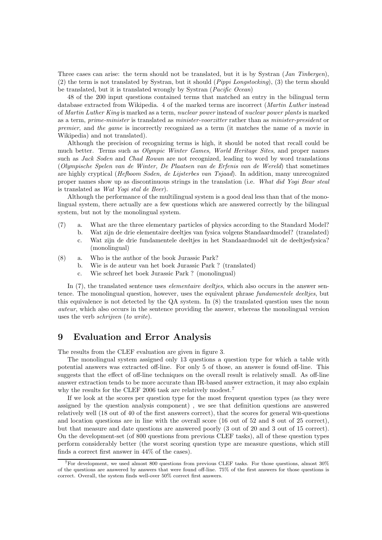Three cases can arise: the term should not be translated, but it is by Systran (*Jan Tinbergen*), (2) the term is not translated by Systran, but it should (Pippi Longstocking), (3) the term should be translated, but it is translated wrongly by Systran (Pacific Ocean)

48 of the 200 input questions contained terms that matched an entry in the bilingual term database extracted from Wikipedia. 4 of the marked terms are incorrect (Martin Luther instead of Martin Luther King is marked as a term, nuclear power instead of nuclear power plants is marked as a term, prime-minister is translated as minister-voorzitter rather than as minister-president or premier, and the game is incorrectly recognized as a term (it matches the name of a movie in Wikipedia) and not translated).

Although the precision of recognizing terms is high, it should be noted that recall could be much better. Terms such as Olympic Winter Games, World Heritage Sites, and proper names such as *Jack Soden* and *Chad Rowan* are not recognized, leading to word by word translations (Olympische Spelen van de Winter, De Plaatsen van de Erfenis van de Wereld) that sometimes are highly cryptical (Hefboom Soden, de Lijsterbes van Tsjaad). In addition, many unrecognized proper names show up as discontinuous strings in the translation (i.e. What did Yogi Bear steal is translated as Wat Yogi stal de Beer).

Although the performance of the multilingual system is a good deal less than that of the monolingual system, there actually are a few questions which are answered correctly by the bilingual system, but not by the monolingual system.

- (7) a. What are the three elementary particles of physics according to the Standard Model?
	- b. Wat zijn de drie elementaire deeltjes van fysica volgens Standaardmodel? (translated) c. Wat zijn de drie fundamentele deeltjes in het Standaardmodel uit de deeltjesfysica? (monolingual)
- (8) a. Who is the author of the book Jurassic Park?
	- b. Wie is de auteur van het boek Jurassic Park ? (translated)
	- c. Wie schreef het boek Jurassic Park ? (monolingual)

In  $(7)$ , the translated sentence uses *elementaire deelties*, which also occurs in the answer sentence. The monolingual question, however, uses the equivalent phrase *fundamentele deelties*, but this equivalence is not detected by the QA system. In (8) the translated question uses the noun auteur, which also occurs in the sentence providing the answer, whereas the monolingual version uses the verb schrijven (to write).

#### 9 Evaluation and Error Analysis

The results from the CLEF evaluation are given in figure 3.

The monolingual system assigned only 13 questions a question type for which a table with potential answers was extracted off-line. For only 5 of those, an answer is found off-line. This suggests that the effect of off-line techniques on the overall result is relatively small. As off-line answer extraction tends to be more accurate than IR-based answer extraction, it may also explain why the results for the CLEF 2006 task are relatively modest.<sup>7</sup>

If we look at the scores per question type for the most frequent question types (as they were assigned by the question analysis component) , we see that definition questions are answered relatively well (18 out of 40 of the first answers correct), that the scores for general wh-questions and location questions are in line with the overall score (16 out of 52 and 8 out of 25 correct), but that measure and date questions are answered poorly (3 out of 20 and 3 out of 15 correct). On the development-set (of 800 questions from previous CLEF tasks), all of these question types perform considerably better (the worst scoring question type are measure questions, which still finds a correct first answer in 44% of the cases).

<sup>7</sup>For development, we used almost 800 questions from previous CLEF tasks. For those questions, almost 30% of the questions are answered by answers that were found off-line. 75% of the first answers for those questions is correct. Overall, the system finds well-over 50% correct first answers.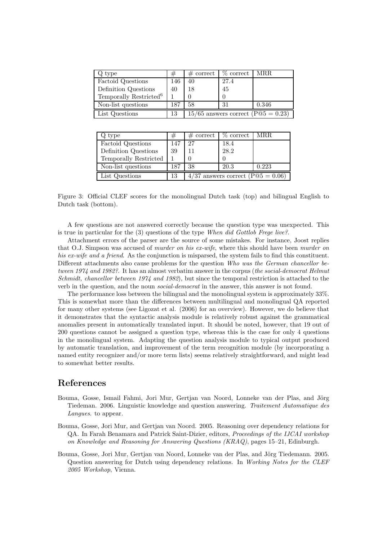| Q type                             | #   | $\#$ correct                             | $%$ correct | MRR.  |
|------------------------------------|-----|------------------------------------------|-------------|-------|
| Factoid Questions                  | 146 | 40                                       | 27.4        |       |
| Definition Questions               | 40  | 18                                       | 45          |       |
| Temporally Restricted <sup>6</sup> |     |                                          |             |       |
| Non-list questions                 | 187 | 58                                       | 31          | 0.346 |
| List Questions                     | 13  | $15/65$ answers correct (P $@5 = 0.23$ ) |             |       |

| Q type                | #   | $#$ correct                                           | $%$ correct | MRR.  |
|-----------------------|-----|-------------------------------------------------------|-------------|-------|
| Factoid Questions     | 147 | 27                                                    | 18.4        |       |
| Definition Questions  | 39  | 11                                                    | 28.2        |       |
| Temporally Restricted |     |                                                       |             |       |
| Non-list questions    | 187 | 38                                                    | 20.3        | 0.223 |
| List Questions        | 13  | $4/37$ answers correct (P $\textcircled{05} = 0.06$ ) |             |       |

Figure 3: Official CLEF scores for the monolingual Dutch task (top) and bilingual English to Dutch task (bottom).

A few questions are not answered correctly because the question type was unexpected. This is true in particular for the  $(3)$  questions of the type When did Gottlob Freque live?.

Attachment errors of the parser are the source of some mistakes. For instance, Joost replies that O.J. Simpson was accused of murder on his ex-wife, where this should have been murder on his ex-wife and a friend. As the conjunction is misparsed, the system fails to find this constituent. Different attachments also cause problems for the question Who was the German chancellor between 1974 and 1982?. It has an almost verbatim answer in the corpus (the social-democrat Helmut Schmidt, chancellor between 1974 and 1982), but since the temporal restriction is attached to the verb in the question, and the noun social-democrat in the answer, this answer is not found.

The performance loss between the bilingual and the monolingual system is approximately 33%. This is somewhat more than the differences between multilingual and monolingual QA reported for many other systems (see Ligozat et al. (2006) for an overview). However, we do believe that it demonstrates that the syntactic analysis module is relatively robust against the grammatical anomalies present in automatically translated input. It should be noted, however, that 19 out of 200 questions cannot be assigned a question type, whereas this is the case for only 4 questions in the monolingual system. Adapting the question analysis module to typical output produced by automatic translation, and improvement of the term recognition module (by incorporating a named entity recognizer and/or more term lists) seems relatively straightforward, and might lead to somewhat better results.

#### References

- Bouma, Gosse, Ismail Fahmi, Jori Mur, Gertian van Noord, Lonneke van der Plas, and Jörg Tiedeman. 2006. Linguistic knowledge and question answering. Traitement Automatique des Langues. to appear.
- Bouma, Gosse, Jori Mur, and Gertjan van Noord. 2005. Reasoning over dependency relations for QA. In Farah Benamara and Patrick Saint-Dizier, editors, Proceedings of the IJCAI workshop on Knowledge and Reasoning for Answering Questions (KRAQ), pages 15–21, Edinburgh.
- Bouma, Gosse, Jori Mur, Gertjan van Noord, Lonneke van der Plas, and Jörg Tiedemann. 2005. Question answering for Dutch using dependency relations. In Working Notes for the CLEF 2005 Workshop, Vienna.